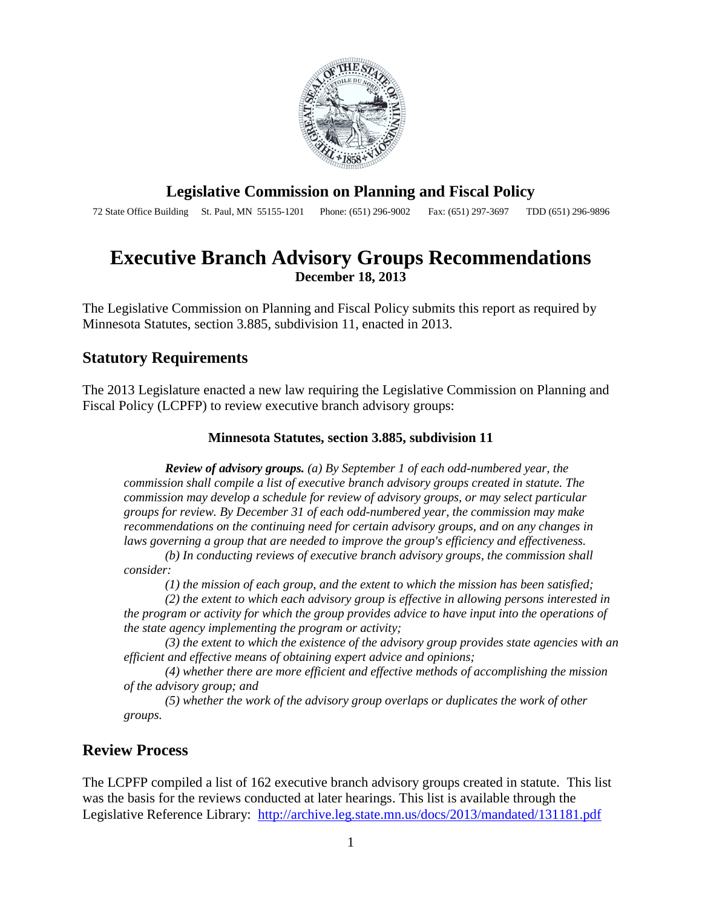

### **Legislative Commission on Planning and Fiscal Policy**

72 State Office Building St. Paul, MN 55155-1201 Phone: (651) 296-9002 Fax: (651) 297-3697 TDD (651) 296-9896

# **Executive Branch Advisory Groups Recommendations December 18, 2013**

The Legislative Commission on Planning and Fiscal Policy submits this report as required by Minnesota Statutes, section 3.885, subdivision 11, enacted in 2013.

### **Statutory Requirements**

The 2013 Legislature enacted a new law requiring the Legislative Commission on Planning and Fiscal Policy (LCPFP) to review executive branch advisory groups:

#### **Minnesota Statutes, section 3.885, subdivision 11**

*Review of advisory groups. (a) By September 1 of each odd-numbered year, the commission shall compile a list of executive branch advisory groups created in statute. The commission may develop a schedule for review of advisory groups, or may select particular groups for review. By December 31 of each odd-numbered year, the commission may make recommendations on the continuing need for certain advisory groups, and on any changes in laws governing a group that are needed to improve the group's efficiency and effectiveness.* 

*(b) In conducting reviews of executive branch advisory groups, the commission shall consider:*

*(1) the mission of each group, and the extent to which the mission has been satisfied;*

*(2) the extent to which each advisory group is effective in allowing persons interested in the program or activity for which the group provides advice to have input into the operations of the state agency implementing the program or activity;*

*(3) the extent to which the existence of the advisory group provides state agencies with an efficient and effective means of obtaining expert advice and opinions;*

*(4) whether there are more efficient and effective methods of accomplishing the mission of the advisory group; and*

*(5) whether the work of the advisory group overlaps or duplicates the work of other groups.*

### **Review Process**

The LCPFP compiled a list of 162 executive branch advisory groups created in statute. This list was the basis for the reviews conducted at later hearings. This list is available through the Legislative Reference Library: <http://archive.leg.state.mn.us/docs/2013/mandated/131181.pdf>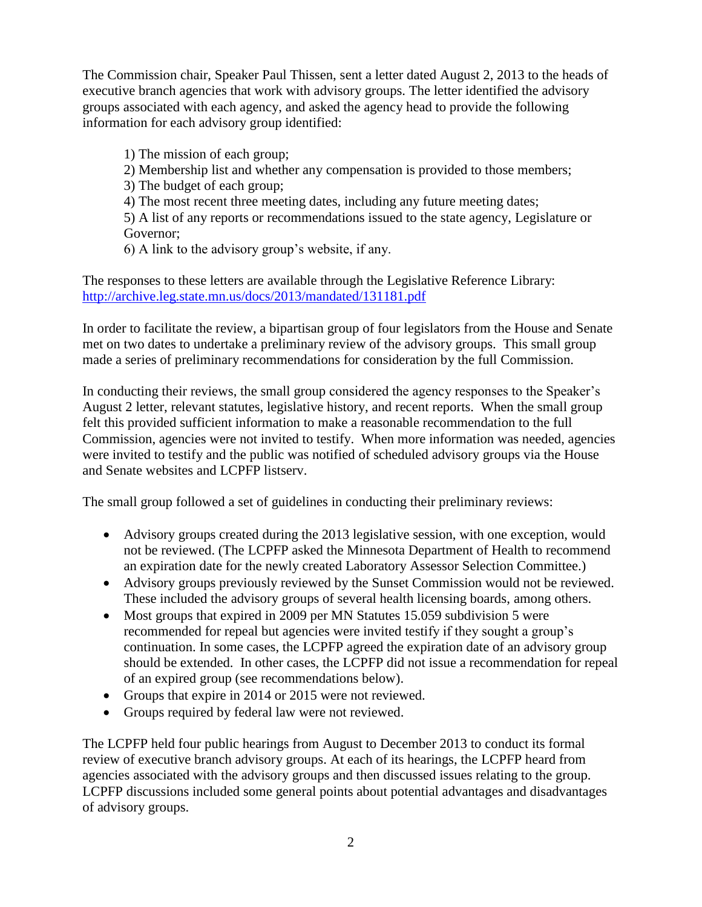The Commission chair, Speaker Paul Thissen, sent a letter dated August 2, 2013 to the heads of executive branch agencies that work with advisory groups. The letter identified the advisory groups associated with each agency, and asked the agency head to provide the following information for each advisory group identified:

1) The mission of each group; 2) Membership list and whether any compensation is provided to those members; 3) The budget of each group; 4) The most recent three meeting dates, including any future meeting dates;

5) A list of any reports or recommendations issued to the state agency, Legislature or Governor;

6) A link to the advisory group's website, if any.

The responses to these letters are available through the Legislative Reference Library: <http://archive.leg.state.mn.us/docs/2013/mandated/131181.pdf>

In order to facilitate the review, a bipartisan group of four legislators from the House and Senate met on two dates to undertake a preliminary review of the advisory groups. This small group made a series of preliminary recommendations for consideration by the full Commission.

In conducting their reviews, the small group considered the agency responses to the Speaker's August 2 letter, relevant statutes, legislative history, and recent reports. When the small group felt this provided sufficient information to make a reasonable recommendation to the full Commission, agencies were not invited to testify. When more information was needed, agencies were invited to testify and the public was notified of scheduled advisory groups via the House and Senate websites and LCPFP listserv.

The small group followed a set of guidelines in conducting their preliminary reviews:

- Advisory groups created during the 2013 legislative session, with one exception, would not be reviewed. (The LCPFP asked the Minnesota Department of Health to recommend an expiration date for the newly created Laboratory Assessor Selection Committee.)
- Advisory groups previously reviewed by the Sunset Commission would not be reviewed. These included the advisory groups of several health licensing boards, among others.
- Most groups that expired in 2009 per MN Statutes 15.059 subdivision 5 were recommended for repeal but agencies were invited testify if they sought a group's continuation. In some cases, the LCPFP agreed the expiration date of an advisory group should be extended. In other cases, the LCPFP did not issue a recommendation for repeal of an expired group (see recommendations below).
- Groups that expire in 2014 or 2015 were not reviewed.
- Groups required by federal law were not reviewed.

The LCPFP held four public hearings from August to December 2013 to conduct its formal review of executive branch advisory groups. At each of its hearings, the LCPFP heard from agencies associated with the advisory groups and then discussed issues relating to the group. LCPFP discussions included some general points about potential advantages and disadvantages of advisory groups.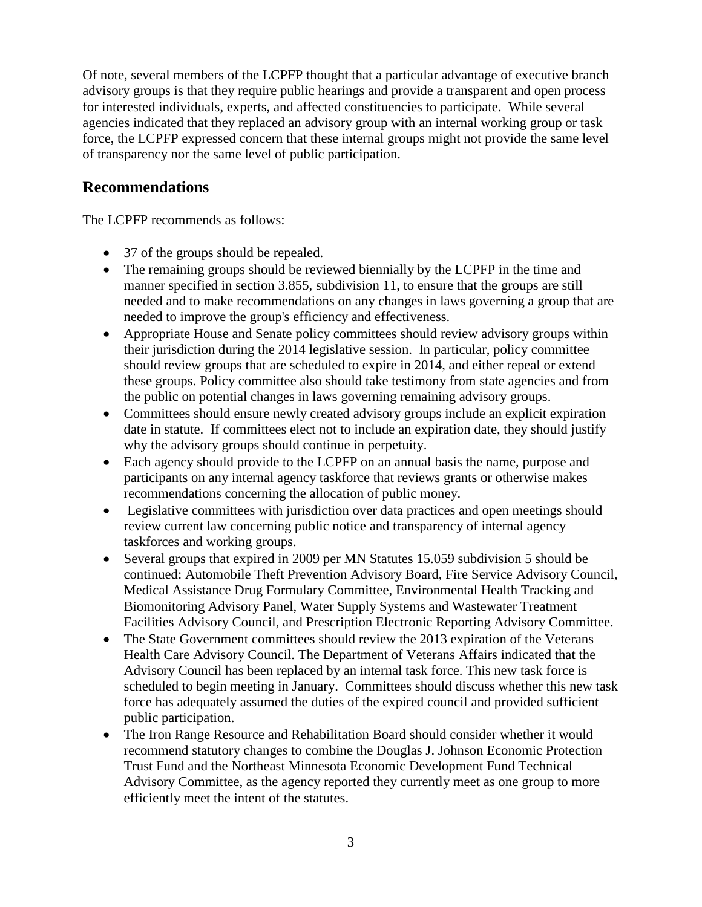Of note, several members of the LCPFP thought that a particular advantage of executive branch advisory groups is that they require public hearings and provide a transparent and open process for interested individuals, experts, and affected constituencies to participate. While several agencies indicated that they replaced an advisory group with an internal working group or task force, the LCPFP expressed concern that these internal groups might not provide the same level of transparency nor the same level of public participation.

## **Recommendations**

The LCPFP recommends as follows:

- 37 of the groups should be repealed.
- The remaining groups should be reviewed biennially by the LCPFP in the time and manner specified in section 3.855, subdivision 11, to ensure that the groups are still needed and to make recommendations on any changes in laws governing a group that are needed to improve the group's efficiency and effectiveness.
- Appropriate House and Senate policy committees should review advisory groups within their jurisdiction during the 2014 legislative session. In particular, policy committee should review groups that are scheduled to expire in 2014, and either repeal or extend these groups. Policy committee also should take testimony from state agencies and from the public on potential changes in laws governing remaining advisory groups.
- Committees should ensure newly created advisory groups include an explicit expiration date in statute. If committees elect not to include an expiration date, they should justify why the advisory groups should continue in perpetuity.
- Each agency should provide to the LCPFP on an annual basis the name, purpose and participants on any internal agency taskforce that reviews grants or otherwise makes recommendations concerning the allocation of public money.
- Legislative committees with jurisdiction over data practices and open meetings should review current law concerning public notice and transparency of internal agency taskforces and working groups.
- Several groups that expired in 2009 per MN Statutes 15.059 subdivision 5 should be continued: Automobile Theft Prevention Advisory Board, Fire Service Advisory Council, Medical Assistance Drug Formulary Committee, Environmental Health Tracking and Biomonitoring Advisory Panel, Water Supply Systems and Wastewater Treatment Facilities Advisory Council, and Prescription Electronic Reporting Advisory Committee.
- The State Government committees should review the 2013 expiration of the Veterans Health Care Advisory Council. The Department of Veterans Affairs indicated that the Advisory Council has been replaced by an internal task force. This new task force is scheduled to begin meeting in January. Committees should discuss whether this new task force has adequately assumed the duties of the expired council and provided sufficient public participation.
- The Iron Range Resource and Rehabilitation Board should consider whether it would recommend statutory changes to combine the Douglas J. Johnson Economic Protection Trust Fund and the Northeast Minnesota Economic Development Fund Technical Advisory Committee, as the agency reported they currently meet as one group to more efficiently meet the intent of the statutes.